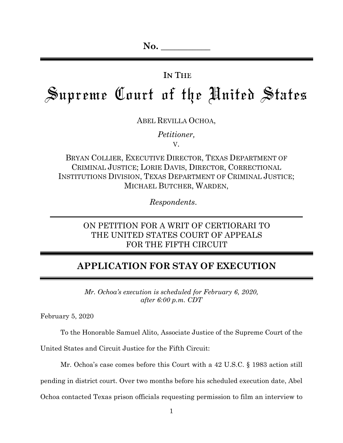## IN THE

# Supreme Court of the United States

ABEL REVILLA OCHOA,

*Petitioner,*

V.

BRYAN COLLIER, EXECUTIVE DIRECTOR, TEXAS DEPARTMENT OF CRIMINAL JUSTICE; LORIE DAVIS, DIRECTOR, CORRECTIONAL INSTITUTIONS DIVISION, TEXAS DEPARTMENT OF CRIMINAL JUSTICE; MICHAEL BUTCHER, WARDEN,

*Respondents*.

## ON PETITION FOR A WRIT OF CERTIORARI TO THE UNITED STATES COURT OF APPEALS FOR THE FIFTH CIRCUIT

# **APPLICATION FOR STAY OF EXECUTION**

*Mr. Ochoa's execution is scheduled for February 6, 2020, after 6:00 p.m. CDT*

February 5, 2020

To the Honorable Samuel Alito, Associate Justice of the Supreme Court of the

United States and Circuit Justice for the Fifth Circuit:

Mr. Ochoa's case comes before this Court with a 42 U.S.C. § 1983 action still

pending in district court. Over two months before his scheduled execution date, Abel

Ochoa contacted Texas prison officials requesting permission to film an interview to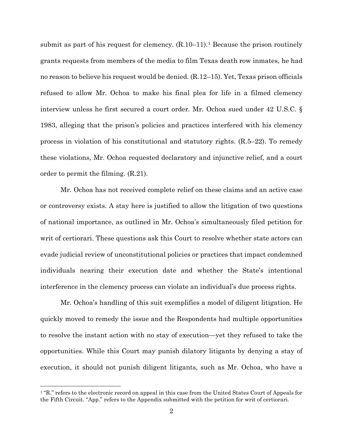submit as part of his request for clemency.  $(R.10-11)$  $(R.10-11)$  $(R.10-11)$ .<sup>1</sup> Because the prison routinely grants requests from members of the media to film Texas death row inmates, he had no reason to believe his request would be denied. (R.12–15). Yet, Texas prison officials refused to allow Mr. Ochoa to make his final plea for life in a filmed clemency interview unless he first secured a court order. Mr. Ochoa sued under 42 U.S.C. § 1983, alleging that the prison's policies and practices interfered with his clemency process in violation of his constitutional and statutory rights. (R.5–22). To remedy these violations, Mr. Ochoa requested declaratory and injunctive relief, and a court order to permit the filming. (R.21).

Mr. Ochoa has not received complete relief on these claims and an active case or controversy exists. A stay here is justified to allow the litigation of two questions of national importance, as outlined in Mr. Ochoa's simultaneously filed petition for writ of certiorari. These questions ask this Court to resolve whether state actors can evade judicial review of unconstitutional policies or practices that impact condemned individuals nearing their execution date and whether the State's intentional interference in the clemency process can violate an individual's due process rights.

Mr. Ochoa's handling of this suit exemplifies a model of diligent litigation. He quickly moved to remedy the issue and the Respondents had multiple opportunities to resolve the instant action with no stay of execution—yet they refused to take the opportunities. While this Court may punish dilatory litigants by denying a stay of execution, it should not punish diligent litigants, such as Mr. Ochoa, who have a

<span id="page-1-0"></span><sup>&</sup>lt;sup>1</sup> "R." refers to the electronic record on appeal in this case from the United States Court of Appeals for the Fifth Circuit. "App." refers to the Appendix submitted with the petition for writ of certiorari.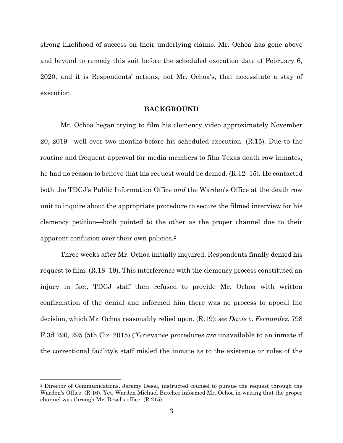strong likelihood of success on their underlying claims. Mr. Ochoa has gone above and beyond to remedy this suit before the scheduled execution date of February 6, 2020, and it is Respondents' actions, not Mr. Ochoa's, that necessitate a stay of execution.

### **BACKGROUND**

Mr. Ochoa began trying to film his clemency video approximately November 20, 2019—well over two months before his scheduled execution. (R.15). Due to the routine and frequent approval for media members to film Texas death row inmates, he had no reason to believe that his request would be denied. (R.12–15). He contacted both the TDCJ's Public Information Office *and* the Warden's Office at the death row unit to inquire about the appropriate procedure to secure the filmed interview for his clemency petition—both pointed to the other as the proper channel due to their apparent confusion over their own policies.[2](#page-2-0)

Three weeks after Mr. Ochoa initially inquired, Respondents finally denied his request to film. (R.18–19). This interference with the clemency process constituted an injury in fact. TDCJ staff then refused to provide Mr. Ochoa with written confirmation of the denial and informed him there was no process to appeal the decision, which Mr. Ochoa reasonably relied upon. (R.19); *see Davis v. Fernandez*, 798 F.3d 290, 295 (5th Cir. 2015) ("Grievance procedures *are* unavailable to an inmate if the correctional facility's staff misled the inmate as to the existence or rules of the

<span id="page-2-0"></span> <sup>2</sup> Director of Communications, Jeremy Desel, instructed counsel to pursue the request through the Warden's Office. (R.16). Yet, Warden Michael Butcher informed Mr. Ochoa in writing that the proper channel was through Mr. Desel's office. (R.215).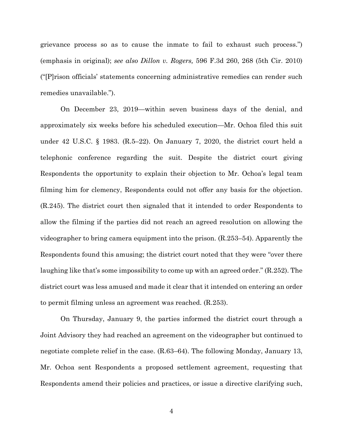grievance process so as to cause the inmate to fail to exhaust such process.") (emphasis in original); *see also Dillon v. Rogers,* 596 F.3d 260, 268 (5th Cir. 2010) ("[P]rison officials' statements concerning administrative remedies can render such remedies unavailable.").

On December 23, 2019—within seven business days of the denial, and approximately six weeks before his scheduled execution—Mr. Ochoa filed this suit under 42 U.S.C. § 1983. (R.5–22). On January 7, 2020, the district court held a telephonic conference regarding the suit. Despite the district court giving Respondents the opportunity to explain their objection to Mr. Ochoa's legal team filming him for clemency, Respondents could not offer any basis for the objection. (R.245). The district court then signaled that it intended to order Respondents to allow the filming if the parties did not reach an agreed resolution on allowing the videographer to bring camera equipment into the prison. (R.253–54). Apparently the Respondents found this amusing; the district court noted that they were "over there laughing like that's some impossibility to come up with an agreed order." (R.252). The district court was less amused and made it clear that it intended on entering an order to permit filming unless an agreement was reached. (R.253).

On Thursday, January 9, the parties informed the district court through a Joint Advisory they had reached an agreement on the videographer but continued to negotiate complete relief in the case. (R.63–64). The following Monday, January 13, Mr. Ochoa sent Respondents a proposed settlement agreement, requesting that Respondents amend their policies and practices, or issue a directive clarifying such,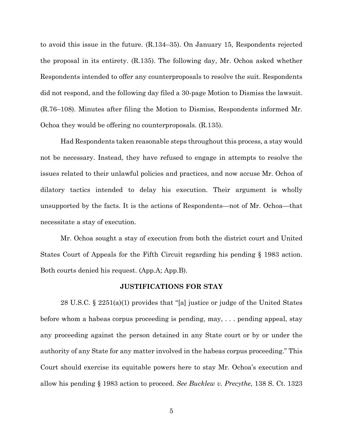to avoid this issue in the future. (R.134–35). On January 15, Respondents rejected the proposal in its entirety. (R.135). The following day, Mr. Ochoa asked whether Respondents intended to offer any counterproposals to resolve the suit. Respondents did not respond, and the following day filed a 30-page Motion to Dismiss the lawsuit. (R.76–108). Minutes after filing the Motion to Dismiss, Respondents informed Mr. Ochoa they would be offering no counterproposals. (R.135).

Had Respondents taken reasonable steps throughout this process, a stay would not be necessary. Instead, they have refused to engage in attempts to resolve the issues related to their unlawful policies and practices, and now accuse Mr. Ochoa of dilatory tactics intended to delay his execution. Their argument is wholly unsupported by the facts. It is the actions of Respondents—not of Mr. Ochoa—that necessitate a stay of execution.

Mr. Ochoa sought a stay of execution from both the district court and United States Court of Appeals for the Fifth Circuit regarding his pending § 1983 action. Both courts denied his request. (App.A; App.B).

#### **JUSTIFICATIONS FOR STAY**

28 U.S.C. § 2251(a)(1) provides that "[a] justice or judge of the United States before whom a habeas corpus proceeding is pending, may, . . . pending appeal, stay any proceeding against the person detained in any State court or by or under the authority of any State for any matter involved in the habeas corpus proceeding." This Court should exercise its equitable powers here to stay Mr. Ochoa's execution and allow his pending § 1983 action to proceed. *See Bucklew v. Precythe*, 138 S. Ct. 1323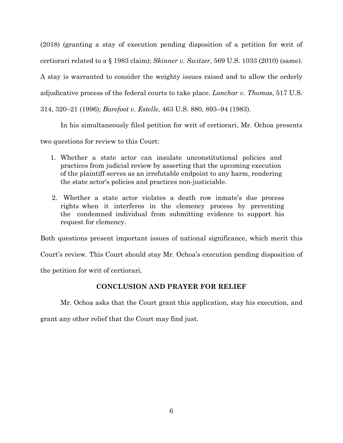(2018) (granting a stay of execution pending disposition of a petition for writ of certiorari related to a § 1983 claim); *Skinner v. Switzer*, 569 U.S. 1033 (2010) (same). A stay is warranted to consider the weighty issues raised and to allow the orderly adjudicative process of the federal courts to take place. *Lonchar v. Thomas*, 517 U.S. 314, 320–21 (1996); *Barefoot v. Estelle*, 463 U.S. 880, 893–94 (1983).

In his simultaneously filed petition for writ of certiorari, Mr. Ochoa presents

two questions for review to this Court:

- 1. Whether a state actor can insulate unconstitutional policies and practices from judicial review by asserting that the upcoming execution of the plaintiff serves as an irrefutable endpoint to any harm, rendering the state actor's policies and practices non-justiciable.
- 2. Whether a state actor violates a death row inmate's due process rights when it interferes in the clemency process by preventing the condemned individual from submitting evidence to support his request for clemency.

Both questions present important issues of national significance, which merit this

Court's review. This Court should stay Mr. Ochoa's execution pending disposition of

the petition for writ of certiorari.

## **CONCLUSION AND PRAYER FOR RELIEF**

Mr. Ochoa asks that the Court grant this application, stay his execution, and

grant any other relief that the Court may find just.